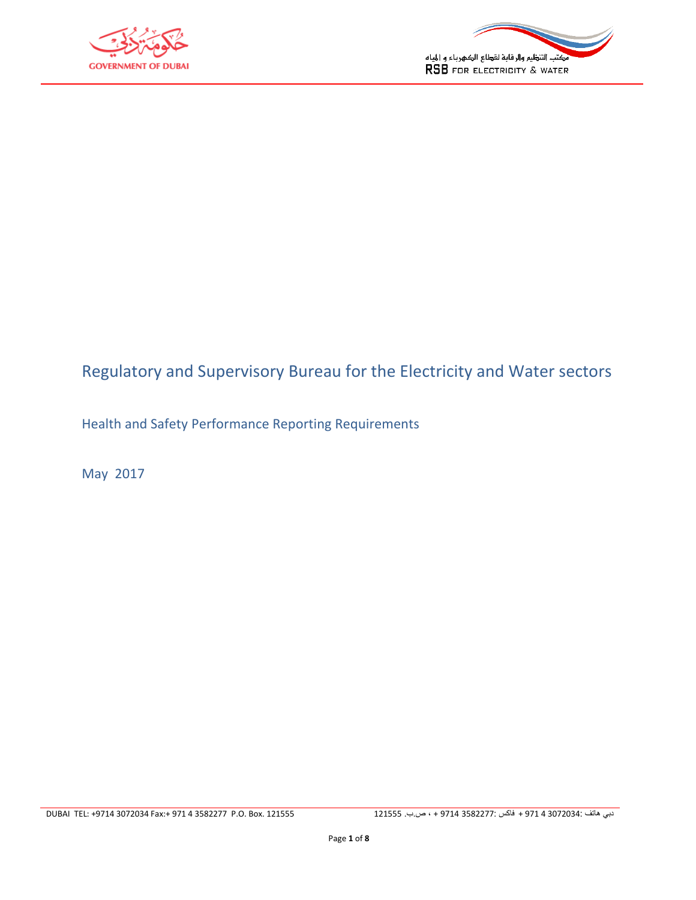



# Regulatory and Supervisory Bureau for the Electricity and Water sectors

Health and Safety Performance Reporting Requirements

May 2017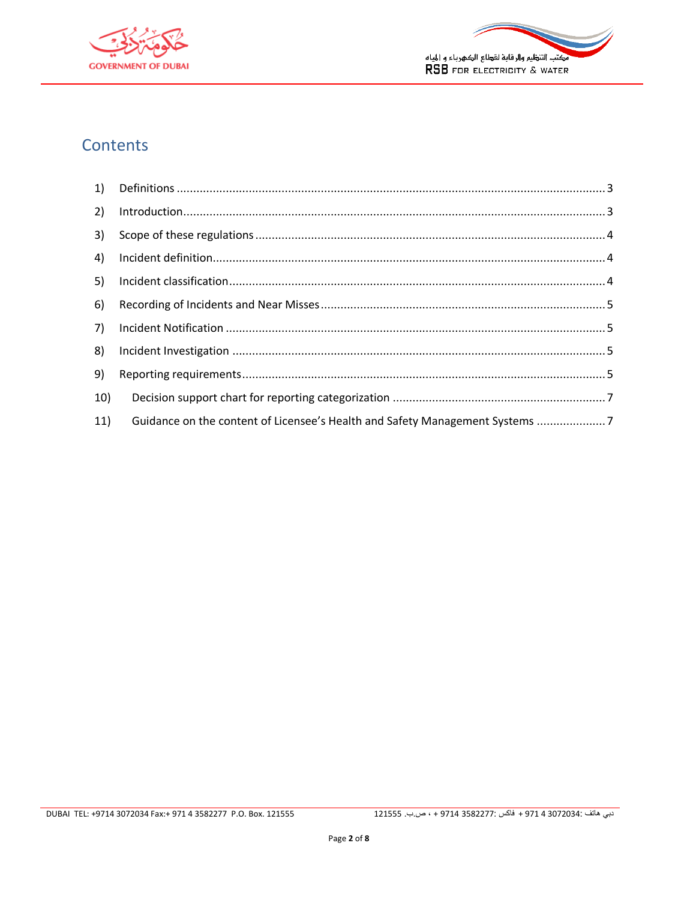



# **Contents**

| 2)  |                                                                              |  |
|-----|------------------------------------------------------------------------------|--|
| 3)  |                                                                              |  |
| 4)  |                                                                              |  |
| 5)  |                                                                              |  |
| 6)  |                                                                              |  |
| 7)  |                                                                              |  |
| 8)  |                                                                              |  |
| 9)  |                                                                              |  |
| 10) |                                                                              |  |
| 11) | Guidance on the content of Licensee's Health and Safety Management Systems 7 |  |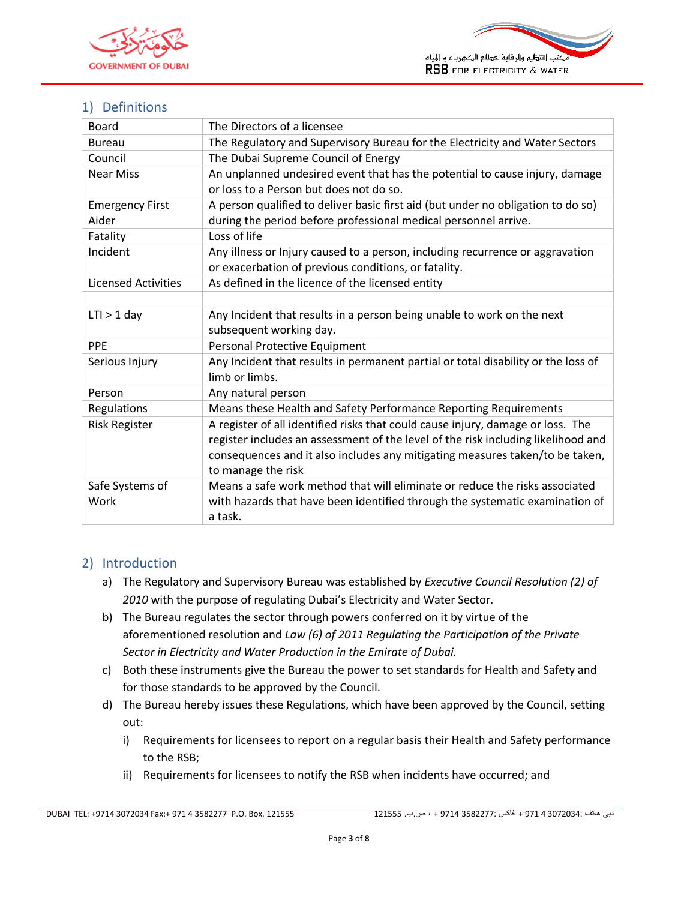



# <span id="page-2-0"></span>1) Definitions

| Board                      | The Directors of a licensee                                                       |
|----------------------------|-----------------------------------------------------------------------------------|
| <b>Bureau</b>              | The Regulatory and Supervisory Bureau for the Electricity and Water Sectors       |
| Council                    | The Dubai Supreme Council of Energy                                               |
| <b>Near Miss</b>           | An unplanned undesired event that has the potential to cause injury, damage       |
|                            | or loss to a Person but does not do so.                                           |
| <b>Emergency First</b>     | A person qualified to deliver basic first aid (but under no obligation to do so)  |
| Aider                      | during the period before professional medical personnel arrive.                   |
| Fatality                   | Loss of life                                                                      |
| Incident                   | Any illness or Injury caused to a person, including recurrence or aggravation     |
|                            | or exacerbation of previous conditions, or fatality.                              |
| <b>Licensed Activities</b> | As defined in the licence of the licensed entity                                  |
|                            |                                                                                   |
| $LTI > 1$ day              | Any Incident that results in a person being unable to work on the next            |
|                            | subsequent working day.                                                           |
| PPE                        | Personal Protective Equipment                                                     |
| Serious Injury             | Any Incident that results in permanent partial or total disability or the loss of |
|                            | limb or limbs.                                                                    |
| Person                     | Any natural person                                                                |
| Regulations                | Means these Health and Safety Performance Reporting Requirements                  |
| <b>Risk Register</b>       | A register of all identified risks that could cause injury, damage or loss. The   |
|                            | register includes an assessment of the level of the risk including likelihood and |
|                            | consequences and it also includes any mitigating measures taken/to be taken,      |
|                            | to manage the risk                                                                |
| Safe Systems of            | Means a safe work method that will eliminate or reduce the risks associated       |
| Work                       | with hazards that have been identified through the systematic examination of      |
|                            | a task.                                                                           |

### <span id="page-2-1"></span>2) Introduction

- a) The Regulatory and Supervisory Bureau was established by *Executive Council Resolution (2) of 2010* with the purpose of regulating Dubai's Electricity and Water Sector.
- b) The Bureau regulates the sector through powers conferred on it by virtue of the aforementioned resolution and *Law (6) of 2011 Regulating the Participation of the Private Sector in Electricity and Water Production in the Emirate of Dubai.*
- c) Both these instruments give the Bureau the power to set standards for Health and Safety and for those standards to be approved by the Council.
- d) The Bureau hereby issues these Regulations, which have been approved by the Council, setting out:
	- i) Requirements for licensees to report on a regular basis their Health and Safety performance to the RSB;
	- ii) Requirements for licensees to notify the RSB when incidents have occurred; and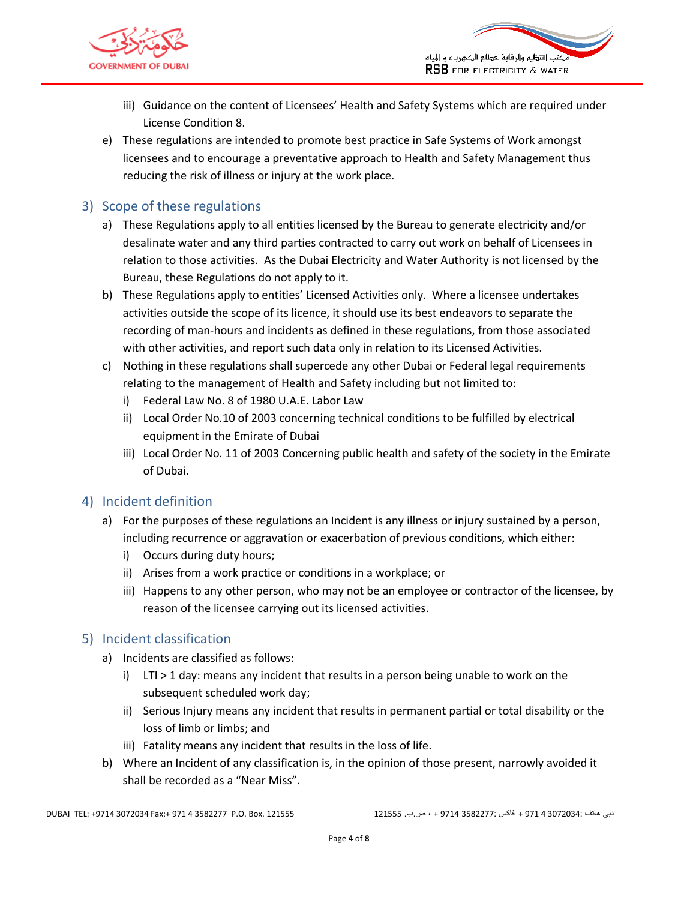

- iii) Guidance on the content of Licensees' Health and Safety Systems which are required under License Condition 8.
- e) These regulations are intended to promote best practice in Safe Systems of Work amongst licensees and to encourage a preventative approach to Health and Safety Management thus reducing the risk of illness or injury at the work place.

## <span id="page-3-0"></span>3) Scope of these regulations

- a) These Regulations apply to all entities licensed by the Bureau to generate electricity and/or desalinate water and any third parties contracted to carry out work on behalf of Licensees in relation to those activities. As the Dubai Electricity and Water Authority is not licensed by the Bureau, these Regulations do not apply to it.
- b) These Regulations apply to entities' Licensed Activities only. Where a licensee undertakes activities outside the scope of its licence, it should use its best endeavors to separate the recording of man-hours and incidents as defined in these regulations, from those associated with other activities, and report such data only in relation to its Licensed Activities.
- c) Nothing in these regulations shall supercede any other Dubai or Federal legal requirements relating to the management of Health and Safety including but not limited to:
	- i) Federal Law No. 8 of 1980 U.A.E. Labor Law
	- ii) Local Order No.10 of 2003 concerning technical conditions to be fulfilled by electrical equipment in the Emirate of Dubai
	- iii) Local Order No. 11 of 2003 Concerning public health and safety of the society in the Emirate of Dubai.

### <span id="page-3-1"></span>4) Incident definition

- a) For the purposes of these regulations an Incident is any illness or injury sustained by a person, including recurrence or aggravation or exacerbation of previous conditions, which either:
	- i) Occurs during duty hours;
	- ii) Arises from a work practice or conditions in a workplace; or
	- iii) Happens to any other person, who may not be an employee or contractor of the licensee, by reason of the licensee carrying out its licensed activities.

### <span id="page-3-2"></span>5) Incident classification

- a) Incidents are classified as follows:
	- i) LTI > 1 day: means any incident that results in a person being unable to work on the subsequent scheduled work day;
	- ii) Serious Injury means any incident that results in permanent partial or total disability or the loss of limb or limbs; and
	- iii) Fatality means any incident that results in the loss of life.
- b) Where an Incident of any classification is, in the opinion of those present, narrowly avoided it shall be recorded as a "Near Miss".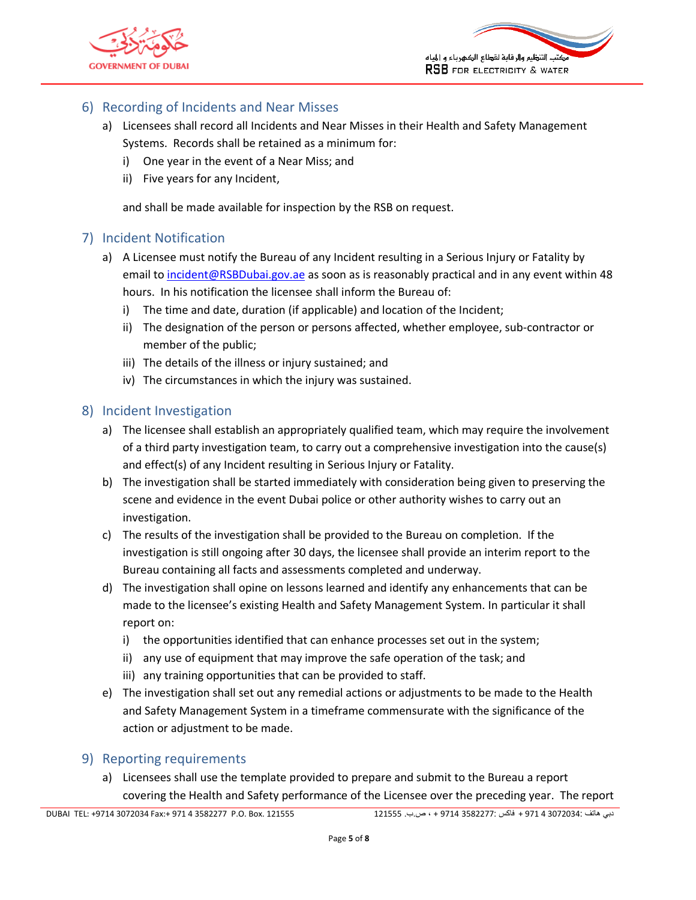



### <span id="page-4-0"></span>6) Recording of Incidents and Near Misses

- a) Licensees shall record all Incidents and Near Misses in their Health and Safety Management Systems. Records shall be retained as a minimum for:
	- i) One year in the event of a Near Miss; and
	- ii) Five years for any Incident,

and shall be made available for inspection by the RSB on request.

#### <span id="page-4-1"></span>7) Incident Notification

- a) A Licensee must notify the Bureau of any Incident resulting in a Serious Injury or Fatality by email to [incident@RSBDubai.gov.ae](mailto:incident@RSBDubai.gov.ae) as soon as is reasonably practical and in any event within 48 hours. In his notification the licensee shall inform the Bureau of:
	- i) The time and date, duration (if applicable) and location of the Incident;
	- ii) The designation of the person or persons affected, whether employee, sub-contractor or member of the public;
	- iii) The details of the illness or injury sustained; and
	- iv) The circumstances in which the injury was sustained.

#### <span id="page-4-2"></span>8) Incident Investigation

- a) The licensee shall establish an appropriately qualified team, which may require the involvement of a third party investigation team, to carry out a comprehensive investigation into the cause(s) and effect(s) of any Incident resulting in Serious Injury or Fatality.
- b) The investigation shall be started immediately with consideration being given to preserving the scene and evidence in the event Dubai police or other authority wishes to carry out an investigation.
- c) The results of the investigation shall be provided to the Bureau on completion. If the investigation is still ongoing after 30 days, the licensee shall provide an interim report to the Bureau containing all facts and assessments completed and underway.
- d) The investigation shall opine on lessons learned and identify any enhancements that can be made to the licensee's existing Health and Safety Management System. In particular it shall report on:
	- i) the opportunities identified that can enhance processes set out in the system;
	- ii) any use of equipment that may improve the safe operation of the task; and
	- iii) any training opportunities that can be provided to staff.
- e) The investigation shall set out any remedial actions or adjustments to be made to the Health and Safety Management System in a timeframe commensurate with the significance of the action or adjustment to be made.

#### <span id="page-4-3"></span>9) Reporting requirements

a) Licensees shall use the template provided to prepare and submit to the Bureau a report covering the Health and Safety performance of the Licensee over the preceding year. The report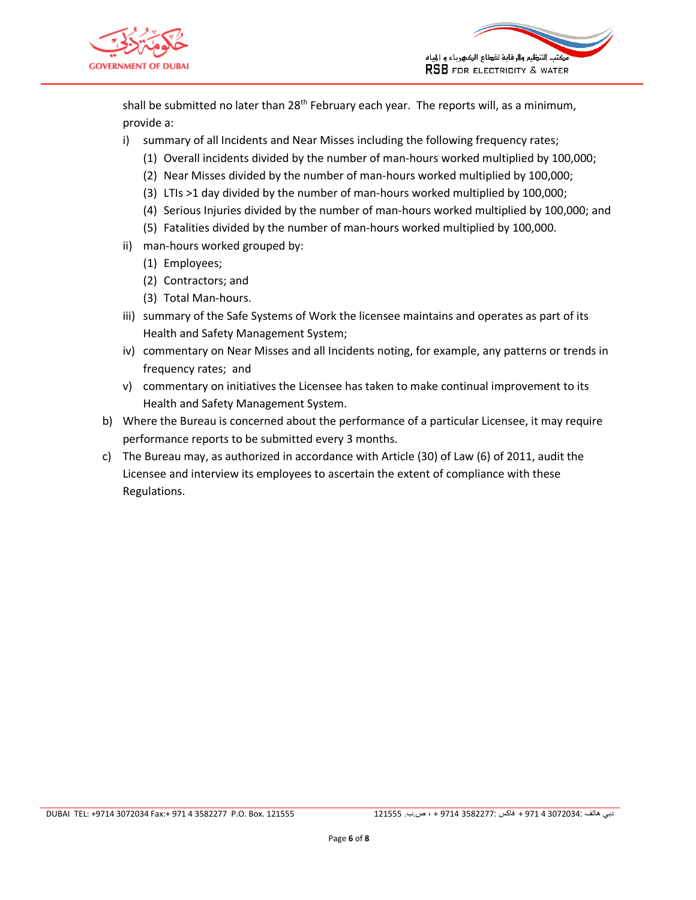



shall be submitted no later than  $28<sup>th</sup>$  February each year. The reports will, as a minimum, provide a:

- i) summary of all Incidents and Near Misses including the following frequency rates;
	- (1) Overall incidents divided by the number of man-hours worked multiplied by 100,000;
	- (2) Near Misses divided by the number of man-hours worked multiplied by 100,000;
	- (3) LTIs >1 day divided by the number of man-hours worked multiplied by 100,000;
	- (4) Serious Injuries divided by the number of man-hours worked multiplied by 100,000; and
	- (5) Fatalities divided by the number of man-hours worked multiplied by 100,000.
- ii) man-hours worked grouped by:
	- (1) Employees;
	- (2) Contractors; and
	- (3) Total Man-hours.
- iii) summary of the Safe Systems of Work the licensee maintains and operates as part of its Health and Safety Management System;
- iv) commentary on Near Misses and all Incidents noting, for example, any patterns or trends in frequency rates; and
- v) commentary on initiatives the Licensee has taken to make continual improvement to its Health and Safety Management System.
- b) Where the Bureau is concerned about the performance of a particular Licensee, it may require performance reports to be submitted every 3 months.
- c) The Bureau may, as authorized in accordance with Article (30) of Law (6) of 2011, audit the Licensee and interview its employees to ascertain the extent of compliance with these Regulations.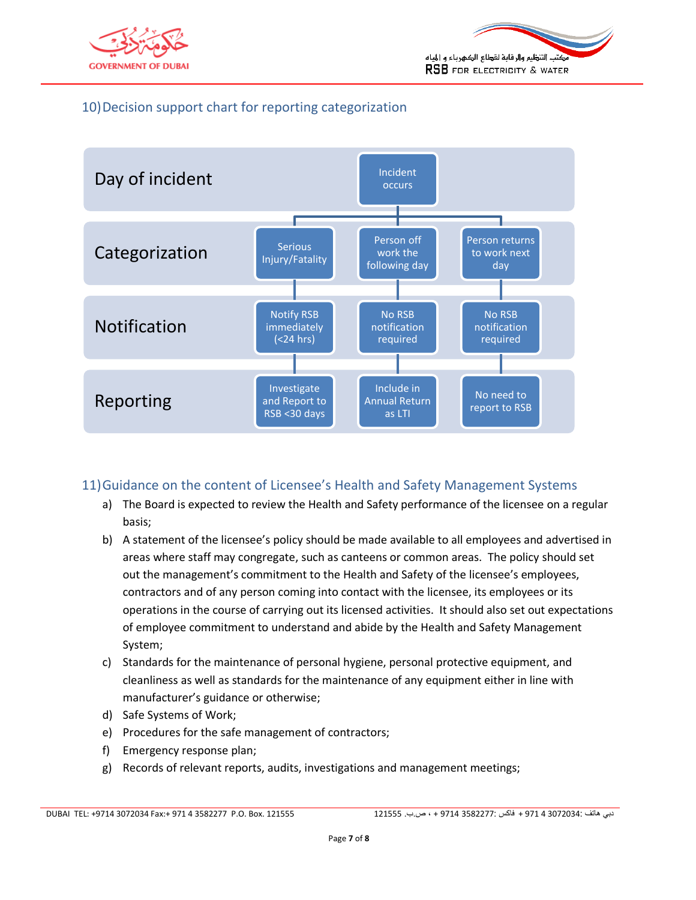



# <span id="page-6-0"></span>10)Decision support chart for reporting categorization



#### <span id="page-6-1"></span>11)Guidance on the content of Licensee's Health and Safety Management Systems

- a) The Board is expected to review the Health and Safety performance of the licensee on a regular basis;
- b) A statement of the licensee's policy should be made available to all employees and advertised in areas where staff may congregate, such as canteens or common areas. The policy should set out the management's commitment to the Health and Safety of the licensee's employees, contractors and of any person coming into contact with the licensee, its employees or its operations in the course of carrying out its licensed activities. It should also set out expectations of employee commitment to understand and abide by the Health and Safety Management System;
- c) Standards for the maintenance of personal hygiene, personal protective equipment, and cleanliness as well as standards for the maintenance of any equipment either in line with manufacturer's guidance or otherwise;
- d) Safe Systems of Work;
- e) Procedures for the safe management of contractors;
- f) Emergency response plan;
- g) Records of relevant reports, audits, investigations and management meetings;